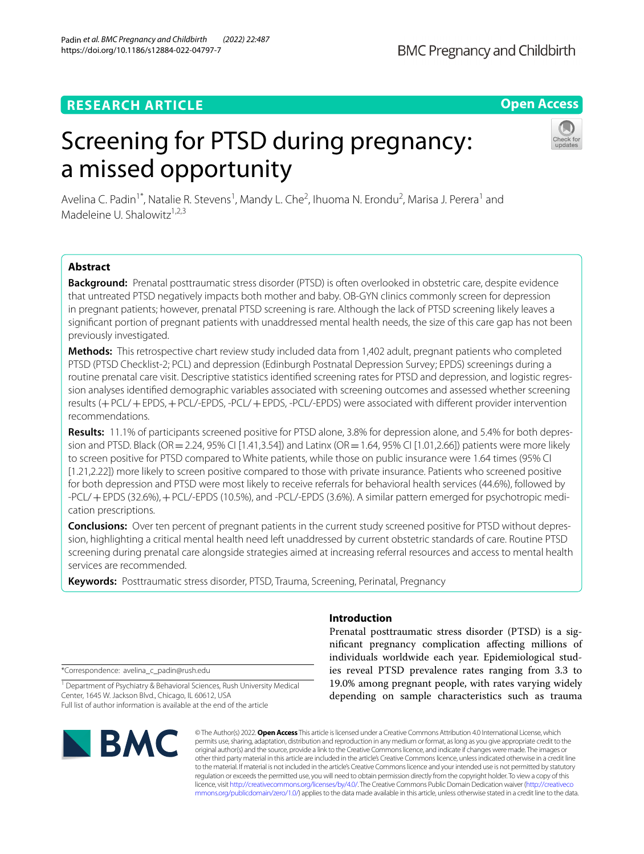# **RESEARCH ARTICLE**

# **Open Access**

# Screening for PTSD during pregnancy: a missed opportunity



Avelina C. Padin<sup>1\*</sup>, Natalie R. Stevens<sup>1</sup>, Mandy L. Che<sup>2</sup>, Ihuoma N. Erondu<sup>2</sup>, Marisa J. Perera<sup>1</sup> and Madeleine U. Shalowitz $1,2,3$ 

# **Abstract**

**Background:** Prenatal posttraumatic stress disorder (PTSD) is often overlooked in obstetric care, despite evidence that untreated PTSD negatively impacts both mother and baby. OB-GYN clinics commonly screen for depression in pregnant patients; however, prenatal PTSD screening is rare. Although the lack of PTSD screening likely leaves a signifcant portion of pregnant patients with unaddressed mental health needs, the size of this care gap has not been previously investigated.

**Methods:** This retrospective chart review study included data from 1,402 adult, pregnant patients who completed PTSD (PTSD Checklist-2; PCL) and depression (Edinburgh Postnatal Depression Survey; EPDS) screenings during a routine prenatal care visit. Descriptive statistics identifed screening rates for PTSD and depression, and logistic regression analyses identifed demographic variables associated with screening outcomes and assessed whether screening results (+PCL/+EPDS,+PCL/-EPDS, -PCL/+EPDS, -PCL/-EPDS) were associated with diferent provider intervention recommendations.

**Results:** 11.1% of participants screened positive for PTSD alone, 3.8% for depression alone, and 5.4% for both depression and PTSD. Black (OR = 2.24, 95% CI [1.41,3.54]) and Latinx (OR = 1.64, 95% CI [1.01,2.66]) patients were more likely to screen positive for PTSD compared to White patients, while those on public insurance were 1.64 times (95% CI [1.21,2.22]) more likely to screen positive compared to those with private insurance. Patients who screened positive for both depression and PTSD were most likely to receive referrals for behavioral health services (44.6%), followed by -PCL/+EPDS (32.6%),+PCL/-EPDS (10.5%), and -PCL/-EPDS (3.6%). A similar pattern emerged for psychotropic medication prescriptions.

**Conclusions:** Over ten percent of pregnant patients in the current study screened positive for PTSD without depression, highlighting a critical mental health need left unaddressed by current obstetric standards of care. Routine PTSD screening during prenatal care alongside strategies aimed at increasing referral resources and access to mental health services are recommended.

**Keywords:** Posttraumatic stress disorder, PTSD, Trauma, Screening, Perinatal, Pregnancy

\*Correspondence: avelina\_c\_padin@rush.edu

<sup>1</sup> Department of Psychiatry & Behavioral Sciences, Rush University Medical Center, 1645 W. Jackson Blvd., Chicago, IL 60612, USA Full list of author information is available at the end of the article

# BMC

# **Introduction**

Prenatal posttraumatic stress disorder (PTSD) is a signifcant pregnancy complication afecting millions of individuals worldwide each year. Epidemiological studies reveal PTSD prevalence rates ranging from 3.3 to 19.0% among pregnant people, with rates varying widely depending on sample characteristics such as trauma

© The Author(s) 2022. **Open Access** This article is licensed under a Creative Commons Attribution 4.0 International License, which permits use, sharing, adaptation, distribution and reproduction in any medium or format, as long as you give appropriate credit to the original author(s) and the source, provide a link to the Creative Commons licence, and indicate if changes were made. The images or other third party material in this article are included in the article's Creative Commons licence, unless indicated otherwise in a credit line to the material. If material is not included in the article's Creative Commons licence and your intended use is not permitted by statutory regulation or exceeds the permitted use, you will need to obtain permission directly from the copyright holder. To view a copy of this licence, visit [http://creativecommons.org/licenses/by/4.0/.](http://creativecommons.org/licenses/by/4.0/) The Creative Commons Public Domain Dedication waiver ([http://creativeco](http://creativecommons.org/publicdomain/zero/1.0/) [mmons.org/publicdomain/zero/1.0/](http://creativecommons.org/publicdomain/zero/1.0/)) applies to the data made available in this article, unless otherwise stated in a credit line to the data.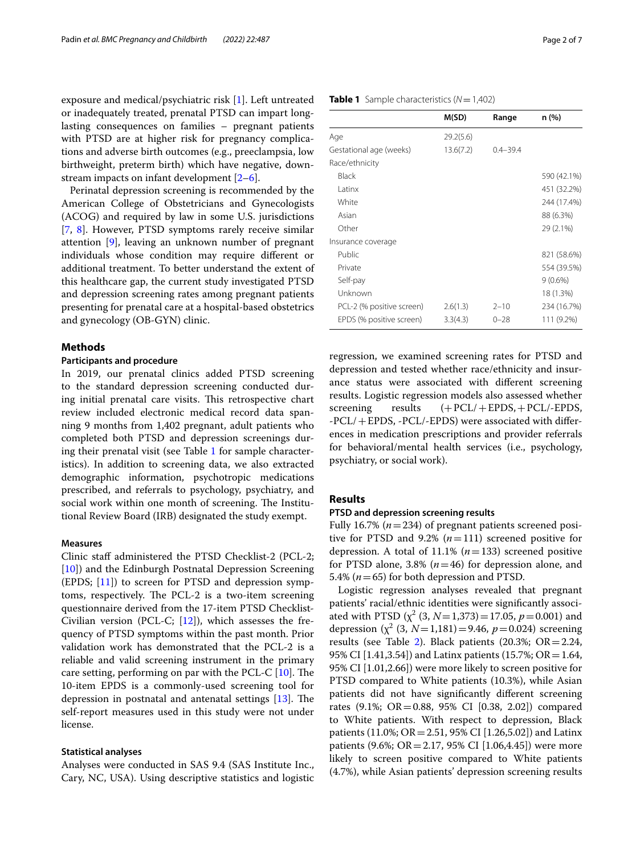exposure and medical/psychiatric risk [[1\]](#page-5-0). Left untreated or inadequately treated, prenatal PTSD can impart longlasting consequences on families – pregnant patients with PTSD are at higher risk for pregnancy complications and adverse birth outcomes (e.g., preeclampsia, low birthweight, preterm birth) which have negative, downstream impacts on infant development [[2](#page-5-1)[–6](#page-5-2)].

Perinatal depression screening is recommended by the American College of Obstetricians and Gynecologists (ACOG) and required by law in some U.S. jurisdictions [[7,](#page-5-3) [8\]](#page-5-4). However, PTSD symptoms rarely receive similar attention [[9\]](#page-5-5), leaving an unknown number of pregnant individuals whose condition may require diferent or additional treatment. To better understand the extent of this healthcare gap, the current study investigated PTSD and depression screening rates among pregnant patients presenting for prenatal care at a hospital-based obstetrics and gynecology (OB-GYN) clinic.

# **Methods**

# **Participants and procedure**

In 2019, our prenatal clinics added PTSD screening to the standard depression screening conducted during initial prenatal care visits. This retrospective chart review included electronic medical record data spanning 9 months from 1,402 pregnant, adult patients who completed both PTSD and depression screenings during their prenatal visit (see Table [1](#page-1-0) for sample characteristics). In addition to screening data, we also extracted demographic information, psychotropic medications prescribed, and referrals to psychology, psychiatry, and social work within one month of screening. The Institutional Review Board (IRB) designated the study exempt.

# **Measures**

Clinic staff administered the PTSD Checklist-2 (PCL-2; [[10\]](#page-5-6)) and the Edinburgh Postnatal Depression Screening (EPDS; [\[11](#page-5-7)]) to screen for PTSD and depression symptoms, respectively. The PCL-2 is a two-item screening questionnaire derived from the 17-item PTSD Checklist-Civilian version (PCL-C;  $[12]$  $[12]$ ), which assesses the frequency of PTSD symptoms within the past month. Prior validation work has demonstrated that the PCL-2 is a reliable and valid screening instrument in the primary care setting, performing on par with the PCL-C  $[10]$  $[10]$ . The 10-item EPDS is a commonly-used screening tool for depression in postnatal and antenatal settings  $[13]$  $[13]$ . The self-report measures used in this study were not under license.

# **Statistical analyses**

Analyses were conducted in SAS 9.4 (SAS Institute Inc., Cary, NC, USA). Using descriptive statistics and logistic

# <span id="page-1-0"></span>**Table 1** Sample characteristics  $(N=1,402)$

|                           | M(SD)     | Range        | n (%)       |
|---------------------------|-----------|--------------|-------------|
| Age                       | 29.2(5.6) |              |             |
| Gestational age (weeks)   | 13.6(7.2) | $0.4 - 39.4$ |             |
| Race/ethnicity            |           |              |             |
| Black                     |           |              | 590 (42.1%) |
| Latinx                    |           |              | 451 (32.2%) |
| White                     |           |              | 244 (17.4%) |
| Asian                     |           |              | 88 (6.3%)   |
| Other                     |           |              | 29 (2.1%)   |
| Insurance coverage        |           |              |             |
| Public                    |           |              | 821 (58.6%) |
| Private                   |           |              | 554 (39.5%) |
| Self-pay                  |           |              | $9(0.6\%)$  |
| Unknown                   |           |              | 18 (1.3%)   |
| PCL-2 (% positive screen) | 2.6(1.3)  | $2 - 10$     | 234 (16.7%) |
| EPDS (% positive screen)  | 3.3(4.3)  | $0 - 28$     | 111 (9.2%)  |

regression, we examined screening rates for PTSD and depression and tested whether race/ethnicity and insurance status were associated with diferent screening results. Logistic regression models also assessed whether screening results  $(+PCL/+EPDS, +PCL/-EPDS,$ -PCL/+EPDS, -PCL/-EPDS) were associated with diferences in medication prescriptions and provider referrals for behavioral/mental health services (i.e., psychology, psychiatry, or social work).

# **Results**

# **PTSD and depression screening results**

Fully 16.7% (*n*=234) of pregnant patients screened positive for PTSD and 9.2% (*n*=111) screened positive for depression. A total of 11.1% (*n*=133) screened positive for PTSD alone, 3.8% (*n*=46) for depression alone, and 5.4% (*n*=65) for both depression and PTSD.

Logistic regression analyses revealed that pregnant patients' racial/ethnic identities were signifcantly associated with PTSD  $(\chi^2 (3, N=1,373)=17.05, p=0.001)$  and depression  $(\chi^2 (3, N=1,181)=9.46, p=0.024)$  screening results (see Table [2](#page-2-0)). Black patients (20.3%;  $OR = 2.24$ , 95% CI [1.41,3.54]) and Latinx patients (15.7%; OR = 1.64, 95% CI [1.01,2.66]) were more likely to screen positive for PTSD compared to White patients (10.3%), while Asian patients did not have signifcantly diferent screening rates (9.1%; OR=0.88, 95% CI [0.38, 2.02]) compared to White patients. With respect to depression, Black patients (11.0%; OR=2.51, 95% CI [1.26,5.02]) and Latinx patients (9.6%; OR = 2.17, 95% CI  $[1.06, 4.45]$ ) were more likely to screen positive compared to White patients (4.7%), while Asian patients' depression screening results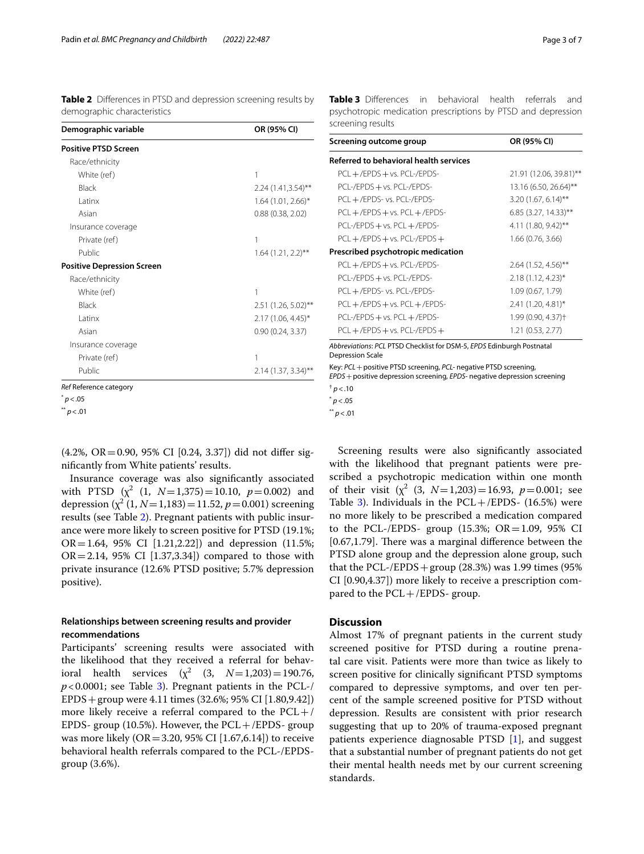<span id="page-2-0"></span>**Table 2** Differences in PTSD and depression screening results by demographic characteristics

| Demographic variable              | OR (95% CI)          |
|-----------------------------------|----------------------|
| <b>Positive PTSD Screen</b>       |                      |
| Race/ethnicity                    |                      |
| White (ref)                       | 1                    |
| Black                             | 2.24 (1.41,3.54)**   |
| Latinx                            | $1.64$ (1.01, 2.66)* |
| Asian                             | 0.88(0.38, 2.02)     |
| Insurance coverage                |                      |
| Private (ref)                     | 1                    |
| Public                            | $1.64$ (1.21, 2.2)** |
| <b>Positive Depression Screen</b> |                      |
| Race/ethnicity                    |                      |
| White (ref)                       | 1                    |
| Black                             | 2.51 (1.26, 5.02)**  |
| I atinx                           | $2.17(1.06, 4.45)^*$ |
| Asian                             | 0.90(0.24, 3.37)     |
| Insurance coverage                |                      |
| Private (ref)                     | 1                    |
| Public                            | 2.14 (1.37, 3.34)**  |
| Ref Reference category            |                      |
| p<.05                             |                      |
| p < .01                           |                      |

(4.2%, OR=0.90, 95% CI [0.24, 3.37]) did not difer signifcantly from White patients' results.

Insurance coverage was also signifcantly associated with PTSD  $(x^2 (1, N=1,375)=10.10, p=0.002)$  and depression  $(\chi^2 (1, N=1,183)=11.52, p=0.001)$  screening results (see Table [2\)](#page-2-0). Pregnant patients with public insurance were more likely to screen positive for PTSD (19.1%;  $OR = 1.64$ , 95% CI [1.21,2.22]) and depression (11.5%;  $OR = 2.14$ , 95% CI  $[1.37, 3.34]$  compared to those with private insurance (12.6% PTSD positive; 5.7% depression positive).

# **Relationships between screening results and provider recommendations**

Participants' screening results were associated with the likelihood that they received a referral for behavioral health services  $(\chi^2 \quad (3, \quad N=1,203)=190.76,$  $p$ <0.0001; see Table [3](#page-2-1)). Pregnant patients in the PCL-/ EPDS+group were 4.11 times (32.6%; 95% CI [1.80,9.42]) more likely receive a referral compared to the  $PCL+/$ EPDS- group (10.5%). However, the  $PCL+/EPDS-$  group was more likely ( $OR = 3.20$ , 95% CI [1.67,6.14]) to receive behavioral health referrals compared to the PCL-/EPDSgroup (3.6%).

<span id="page-2-1"></span>**Table 3** Differences in behavioral health referrals and psychotropic medication prescriptions by PTSD and depression screening results

| Screening outcome group                                               | OR (95% CI)                    |  |
|-----------------------------------------------------------------------|--------------------------------|--|
| Referred to behavioral health services                                |                                |  |
| $PCL + / EPDS + vs. PCL / EPDS -$                                     | 21.91 (12.06, 39.81)**         |  |
| PCL-/EPDS + vs. PCL-/EPDS-                                            | 13.16 (6.50, 26.64)**          |  |
| PCL +/EPDS- vs. PCL-/EPDS-                                            | $3.20(1.67, 6.14)$ **          |  |
| $PCL + / EPDS + vs. PCL + / EPDS -$                                   | $6.85$ (3.27, 14.33)**         |  |
| PCL-/EPDS + vs. PCL + /EPDS-                                          | 4.11 (1.80, 9.42)**            |  |
| $PCL + / EPDS + vs. PCL - / EPDS +$                                   | 1.66 (0.76, 3.66)              |  |
| Prescribed psychotropic medication                                    |                                |  |
| $PCL + / EPDS + vs. PCL / EPDS -$                                     | $2.64$ (1.52, 4.56)**          |  |
| PCL-/EPDS + vs. PCL-/EPDS-                                            | $2.18(1.12, 4.23)^{*}$         |  |
| PCL +/EPDS- vs. PCL-/EPDS-                                            | 1.09 (0.67, 1.79)              |  |
| $PCL + / EPDS + vs. PCL + / EPDS -$                                   | 2.41 (1.20, 4.81)*             |  |
| PCL-/EPDS + vs. PCL + /EPDS-                                          | 1.99 (0.90, 4.37) <sup>+</sup> |  |
| $PCL + / EPDS + vs. PCL - / EPDS +$                                   | 1.21 (0.53, 2.77)              |  |
| Abbreviations: PCL PTSD Checklist for DSM-5, EPDS Edinburgh Postnatal |                                |  |

Depression Scale

Key: *PCL*+positive PTSD screening, *PCL-* negative PTSD screening, *EPDS*+positive depression screening, *EPDS-* negative depression screening  $<sup>†</sup> p < .10$ </sup>

```
p<.05
```
\*\* *p*<.01

Screening results were also signifcantly associated with the likelihood that pregnant patients were prescribed a psychotropic medication within one month of their visit  $(\chi^2 \ (3, \ N=1,203)=16.93, \ p=0.001; \ \text{see}$ Table [3\)](#page-2-1). Individuals in the  $PCL + / EPDS - (16.5%)$  were no more likely to be prescribed a medication compared to the PCL-/EPDS- group  $(15.3\%; OR = 1.09, 95\% \text{ CI})$  $[0.67, 1.79]$ . There was a marginal difference between the PTSD alone group and the depression alone group, such that the PCL-/EPDS + group  $(28.3%)$  was 1.99 times  $(95%$ CI [0.90,4.37]) more likely to receive a prescription compared to the PCL+/EPDS- group.

# **Discussion**

Almost 17% of pregnant patients in the current study screened positive for PTSD during a routine prenatal care visit. Patients were more than twice as likely to screen positive for clinically signifcant PTSD symptoms compared to depressive symptoms, and over ten percent of the sample screened positive for PTSD without depression. Results are consistent with prior research suggesting that up to 20% of trauma-exposed pregnant patients experience diagnosable PTSD  $[1]$  $[1]$ , and suggest that a substantial number of pregnant patients do not get their mental health needs met by our current screening standards.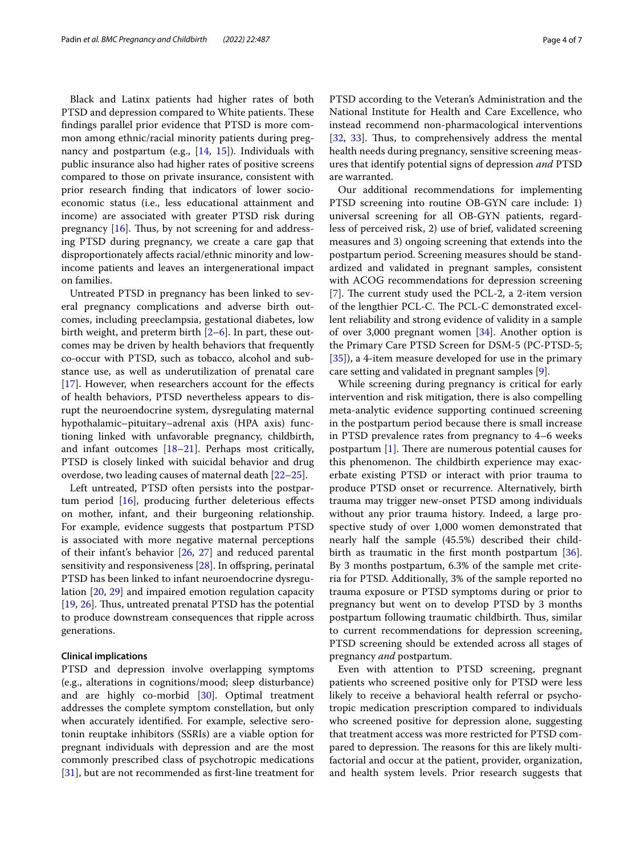Black and Latinx patients had higher rates of both PTSD and depression compared to White patients. These fndings parallel prior evidence that PTSD is more common among ethnic/racial minority patients during pregnancy and postpartum (e.g., [[14](#page-5-10), [15\]](#page-5-11)). Individuals with public insurance also had higher rates of positive screens compared to those on private insurance, consistent with prior research fnding that indicators of lower socioeconomic status (i.e., less educational attainment and income) are associated with greater PTSD risk during pregnancy  $[16]$  $[16]$ . Thus, by not screening for and addressing PTSD during pregnancy, we create a care gap that disproportionately afects racial/ethnic minority and lowincome patients and leaves an intergenerational impact on families.

Untreated PTSD in pregnancy has been linked to several pregnancy complications and adverse birth outcomes, including preeclampsia, gestational diabetes, low birth weight, and preterm birth  $[2-6]$  $[2-6]$ . In part, these outcomes may be driven by health behaviors that frequently co-occur with PTSD, such as tobacco, alcohol and substance use, as well as underutilization of prenatal care [[17\]](#page-5-13). However, when researchers account for the effects of health behaviors, PTSD nevertheless appears to disrupt the neuroendocrine system, dysregulating maternal hypothalamic–pituitary–adrenal axis (HPA axis) functioning linked with unfavorable pregnancy, childbirth, and infant outcomes [\[18](#page-5-14)–[21\]](#page-5-15). Perhaps most critically, PTSD is closely linked with suicidal behavior and drug overdose, two leading causes of maternal death [[22](#page-5-16)[–25](#page-5-17)].

Left untreated, PTSD often persists into the postpartum period  $[16]$  $[16]$ , producing further deleterious effects on mother, infant, and their burgeoning relationship. For example, evidence suggests that postpartum PTSD is associated with more negative maternal perceptions of their infant's behavior [[26,](#page-5-18) [27\]](#page-5-19) and reduced parental sensitivity and responsiveness  $[28]$ . In offspring, perinatal PTSD has been linked to infant neuroendocrine dysregulation [\[20](#page-5-21), [29](#page-5-22)] and impaired emotion regulation capacity [[19,](#page-5-23) [26](#page-5-18)]. Thus, untreated prenatal PTSD has the potential to produce downstream consequences that ripple across generations.

# **Clinical implications**

PTSD and depression involve overlapping symptoms (e.g., alterations in cognitions/mood; sleep disturbance) and are highly co-morbid [[30\]](#page-5-24). Optimal treatment addresses the complete symptom constellation, but only when accurately identifed. For example, selective serotonin reuptake inhibitors (SSRIs) are a viable option for pregnant individuals with depression and are the most commonly prescribed class of psychotropic medications [[31\]](#page-5-25), but are not recommended as first-line treatment for PTSD according to the Veteran's Administration and the National Institute for Health and Care Excellence, who instead recommend non-pharmacological interventions [[32,](#page-5-26) [33](#page-5-27)]. Thus, to comprehensively address the mental health needs during pregnancy, sensitive screening measures that identify potential signs of depression *and* PTSD are warranted.

Our additional recommendations for implementing PTSD screening into routine OB-GYN care include: 1) universal screening for all OB-GYN patients, regardless of perceived risk, 2) use of brief, validated screening measures and 3) ongoing screening that extends into the postpartum period. Screening measures should be standardized and validated in pregnant samples, consistent with ACOG recommendations for depression screening [[7\]](#page-5-3). The current study used the PCL-2, a 2-item version of the lengthier PCL-C. The PCL-C demonstrated excellent reliability and strong evidence of validity in a sample of over 3,000 pregnant women  $[34]$  $[34]$ . Another option is the Primary Care PTSD Screen for DSM-5 (PC-PTSD-5; [[35\]](#page-5-29)), a 4-item measure developed for use in the primary care setting and validated in pregnant samples [\[9](#page-5-5)].

While screening during pregnancy is critical for early intervention and risk mitigation, there is also compelling meta-analytic evidence supporting continued screening in the postpartum period because there is small increase in PTSD prevalence rates from pregnancy to 4–6 weeks postpartum  $[1]$  $[1]$ . There are numerous potential causes for this phenomenon. The childbirth experience may exacerbate existing PTSD or interact with prior trauma to produce PTSD onset or recurrence. Alternatively, birth trauma may trigger new-onset PTSD among individuals without any prior trauma history. Indeed, a large prospective study of over 1,000 women demonstrated that nearly half the sample (45.5%) described their child-birth as traumatic in the first month postpartum [\[36](#page-5-30)]. By 3 months postpartum, 6.3% of the sample met criteria for PTSD. Additionally, 3% of the sample reported no trauma exposure or PTSD symptoms during or prior to pregnancy but went on to develop PTSD by 3 months postpartum following traumatic childbirth. Thus, similar to current recommendations for depression screening, PTSD screening should be extended across all stages of pregnancy *and* postpartum.

Even with attention to PTSD screening, pregnant patients who screened positive only for PTSD were less likely to receive a behavioral health referral or psychotropic medication prescription compared to individuals who screened positive for depression alone, suggesting that treatment access was more restricted for PTSD compared to depression. The reasons for this are likely multifactorial and occur at the patient, provider, organization, and health system levels. Prior research suggests that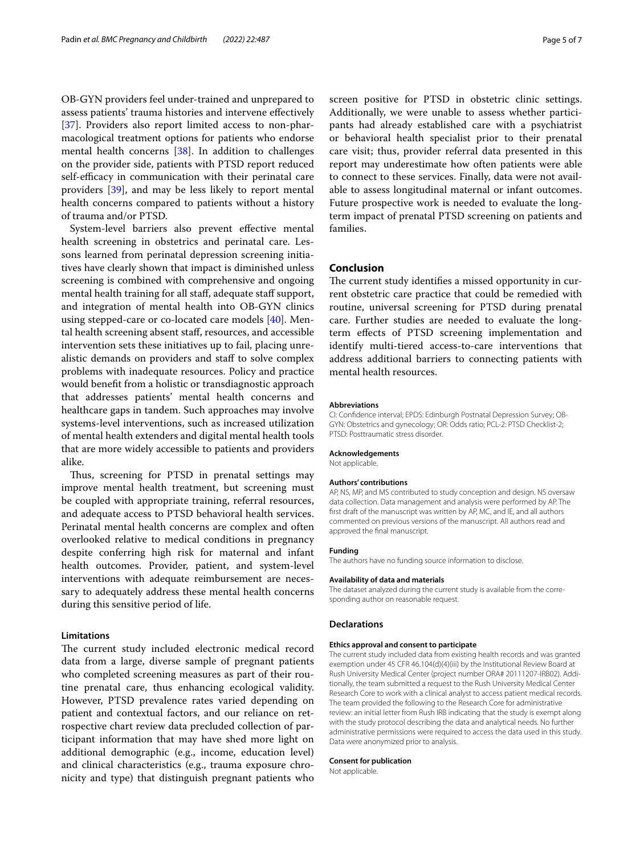OB-GYN providers feel under-trained and unprepared to assess patients' trauma histories and intervene efectively [[37\]](#page-5-31). Providers also report limited access to non-pharmacological treatment options for patients who endorse mental health concerns [\[38\]](#page-5-32). In addition to challenges on the provider side, patients with PTSD report reduced self-efficacy in communication with their perinatal care providers [[39](#page-5-33)], and may be less likely to report mental health concerns compared to patients without a history of trauma and/or PTSD.

System-level barriers also prevent efective mental health screening in obstetrics and perinatal care. Lessons learned from perinatal depression screening initiatives have clearly shown that impact is diminished unless screening is combined with comprehensive and ongoing mental health training for all staff, adequate staff support, and integration of mental health into OB-GYN clinics using stepped-care or co-located care models [[40\]](#page-6-0). Mental health screening absent staf, resources, and accessible intervention sets these initiatives up to fail, placing unrealistic demands on providers and staff to solve complex problems with inadequate resources. Policy and practice would beneft from a holistic or transdiagnostic approach that addresses patients' mental health concerns and healthcare gaps in tandem. Such approaches may involve systems-level interventions, such as increased utilization of mental health extenders and digital mental health tools that are more widely accessible to patients and providers alike.

Thus, screening for PTSD in prenatal settings may improve mental health treatment, but screening must be coupled with appropriate training, referral resources, and adequate access to PTSD behavioral health services. Perinatal mental health concerns are complex and often overlooked relative to medical conditions in pregnancy despite conferring high risk for maternal and infant health outcomes. Provider, patient, and system-level interventions with adequate reimbursement are necessary to adequately address these mental health concerns during this sensitive period of life.

# **Limitations**

The current study included electronic medical record data from a large, diverse sample of pregnant patients who completed screening measures as part of their routine prenatal care, thus enhancing ecological validity. However, PTSD prevalence rates varied depending on patient and contextual factors, and our reliance on retrospective chart review data precluded collection of participant information that may have shed more light on additional demographic (e.g., income, education level) and clinical characteristics (e.g., trauma exposure chronicity and type) that distinguish pregnant patients who screen positive for PTSD in obstetric clinic settings. Additionally, we were unable to assess whether participants had already established care with a psychiatrist or behavioral health specialist prior to their prenatal care visit; thus, provider referral data presented in this report may underestimate how often patients were able to connect to these services. Finally, data were not available to assess longitudinal maternal or infant outcomes. Future prospective work is needed to evaluate the longterm impact of prenatal PTSD screening on patients and families.

# **Conclusion**

The current study identifies a missed opportunity in current obstetric care practice that could be remedied with routine, universal screening for PTSD during prenatal care. Further studies are needed to evaluate the longterm efects of PTSD screening implementation and identify multi-tiered access-to-care interventions that address additional barriers to connecting patients with mental health resources.

# **Abbreviations**

CI: Confdence interval; EPDS: Edinburgh Postnatal Depression Survey; OB-GYN: Obstetrics and gynecology; OR: Odds ratio; PCL-2: PTSD Checklist-2; PTSD: Posttraumatic stress disorder.

#### **Acknowledgements**

Not applicable.

#### **Authors' contributions**

AP, NS, MP, and MS contributed to study conception and design. NS oversaw data collection. Data management and analysis were performed by AP. The frst draft of the manuscript was written by AP, MC, and IE, and all authors commented on previous versions of the manuscript. All authors read and approved the fnal manuscript.

# **Funding**

The authors have no funding source information to disclose.

#### **Availability of data and materials**

The dataset analyzed during the current study is available from the corresponding author on reasonable request.

# **Declarations**

#### **Ethics approval and consent to participate**

The current study included data from existing health records and was granted exemption under 45 CFR 46.104(d)(4)(iii) by the Institutional Review Board at Rush University Medical Center (project number ORA# 20111207-IRB02). Additionally, the team submitted a request to the Rush University Medical Center Research Core to work with a clinical analyst to access patient medical records. The team provided the following to the Research Core for administrative review: an initial letter from Rush IRB indicating that the study is exempt along with the study protocol describing the data and analytical needs. No further administrative permissions were required to access the data used in this study. Data were anonymized prior to analysis.

#### **Consent for publication**

Not applicable.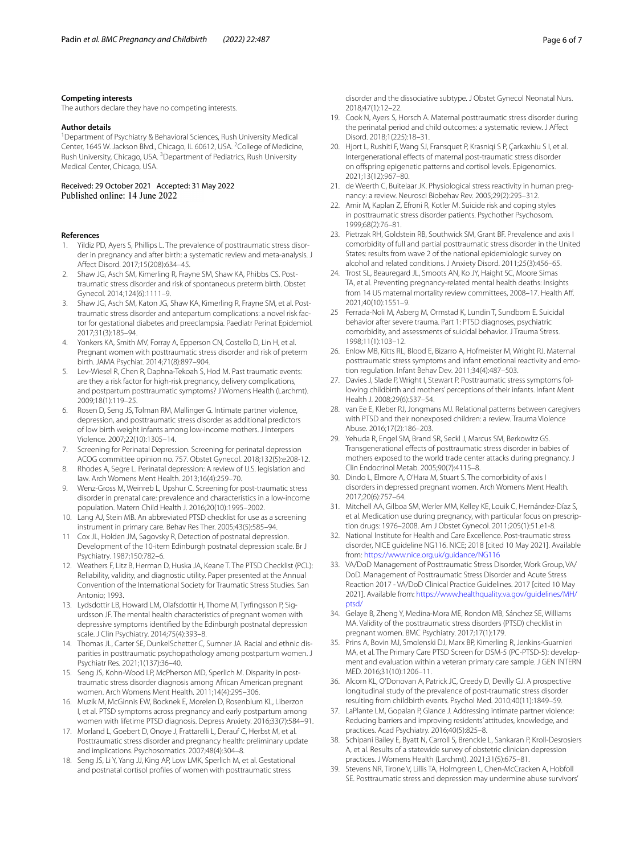# **Competing interests**

The authors declare they have no competing interests.

# **Author details**

<sup>1</sup> Department of Psychiatry & Behavioral Sciences, Rush University Medical Center, 1645 W. Jackson Blvd., Chicago, IL 60612, USA. <sup>2</sup>College of Medicine, Rush University, Chicago, USA.<sup>3</sup> Department of Pediatrics, Rush University Medical Center, Chicago, USA.

Received: 29 October 2021 Accepted: 31 May 2022 Published online: 14 June 2022

#### **References**

- <span id="page-5-0"></span>1. Yildiz PD, Ayers S, Phillips L. The prevalence of posttraumatic stress disorder in pregnancy and after birth: a systematic review and meta-analysis. J Afect Disord. 2017;15(208):634–45.
- <span id="page-5-1"></span>2. Shaw JG, Asch SM, Kimerling R, Frayne SM, Shaw KA, Phibbs CS. Posttraumatic stress disorder and risk of spontaneous preterm birth. Obstet Gynecol. 2014;124(6):1111–9.
- 3. Shaw JG, Asch SM, Katon JG, Shaw KA, Kimerling R, Frayne SM, et al. Posttraumatic stress disorder and antepartum complications: a novel risk factor for gestational diabetes and preeclampsia. Paediatr Perinat Epidemiol. 2017;31(3):185–94.
- 4. Yonkers KA, Smith MV, Forray A, Epperson CN, Costello D, Lin H, et al. Pregnant women with posttraumatic stress disorder and risk of preterm birth. JAMA Psychiat. 2014;71(8):897–904.
- 5. Lev-Wiesel R, Chen R, Daphna-Tekoah S, Hod M. Past traumatic events: are they a risk factor for high-risk pregnancy, delivery complications, and postpartum posttraumatic symptoms? J Womens Health (Larchmt). 2009;18(1):119–25.
- <span id="page-5-2"></span>6. Rosen D, Seng JS, Tolman RM, Mallinger G. Intimate partner violence, depression, and posttraumatic stress disorder as additional predictors of low birth weight infants among low-income mothers. J Interpers Violence. 2007;22(10):1305–14.
- <span id="page-5-3"></span>7. Screening for Perinatal Depression. Screening for perinatal depression ACOG committee opinion no. 757. Obstet Gynecol. 2018;132(5):e208-12.
- <span id="page-5-4"></span>8. Rhodes A, Segre L. Perinatal depression: A review of U.S. legislation and law. Arch Womens Ment Health. 2013;16(4):259–70.
- <span id="page-5-5"></span>9. Wenz-Gross M, Weinreb L, Upshur C. Screening for post-traumatic stress disorder in prenatal care: prevalence and characteristics in a low-income population. Matern Child Health J. 2016;20(10):1995–2002.
- <span id="page-5-6"></span>10. Lang AJ, Stein MB. An abbreviated PTSD checklist for use as a screening instrument in primary care. Behav Res Ther. 2005;43(5):585–94.
- <span id="page-5-7"></span>11 Cox JL, Holden JM, Sagovsky R, Detection of postnatal depression. Development of the 10-item Edinburgh postnatal depression scale. Br J Psychiatry. 1987;150:782–6.
- <span id="page-5-8"></span>12. Weathers F, Litz B, Herman D, Huska JA, Keane T. The PTSD Checklist (PCL): Reliability, validity, and diagnostic utility. Paper presented at the Annual Convention of the International Society for Traumatic Stress Studies. San Antonio; 1993.
- <span id="page-5-9"></span>13. Lydsdottir LB, Howard LM, Olafsdottir H, Thome M, Tyrfngsson P, Sigurdsson JF. The mental health characteristics of pregnant women with depressive symptoms identifed by the Edinburgh postnatal depression scale. J Clin Psychiatry. 2014;75(4):393–8.
- <span id="page-5-10"></span>14. Thomas JL, Carter SE, DunkelSchetter C, Sumner JA. Racial and ethnic disparities in posttraumatic psychopathology among postpartum women. J Psychiatr Res. 2021;1(137):36–40.
- <span id="page-5-11"></span>15. Seng JS, Kohn-Wood LP, McPherson MD, Sperlich M. Disparity in posttraumatic stress disorder diagnosis among African American pregnant women. Arch Womens Ment Health. 2011;14(4):295–306.
- <span id="page-5-12"></span>16. Muzik M, McGinnis EW, Bocknek E, Morelen D, Rosenblum KL, Liberzon I, et al. PTSD symptoms across pregnancy and early postpartum among women with lifetime PTSD diagnosis. Depress Anxiety. 2016;33(7):584–91.
- <span id="page-5-13"></span>17. Morland L, Goebert D, Onoye J, Frattarelli L, Derauf C, Herbst M, et al. Posttraumatic stress disorder and pregnancy health: preliminary update and implications. Psychosomatics. 2007;48(4):304–8.
- <span id="page-5-14"></span>18. Seng JS, Li Y, Yang JJ, King AP, Low LMK, Sperlich M, et al. Gestational and postnatal cortisol profles of women with posttraumatic stress

disorder and the dissociative subtype. J Obstet Gynecol Neonatal Nurs. 2018;47(1):12–22.

- <span id="page-5-23"></span>19. Cook N, Ayers S, Horsch A. Maternal posttraumatic stress disorder during the perinatal period and child outcomes: a systematic review. J Afect Disord. 2018;1(225):18–31.
- <span id="page-5-21"></span>20. Hjort L, Rushiti F, Wang SJ, Fransquet P, Krasniqi S P, Çarkaxhiu S I, et al. Intergenerational efects of maternal post-traumatic stress disorder on ofspring epigenetic patterns and cortisol levels. Epigenomics. 2021;13(12):967–80.
- <span id="page-5-15"></span>21. de Weerth C, Buitelaar JK. Physiological stress reactivity in human pregnancy: a review. Neurosci Biobehav Rev. 2005;29(2):295–312.
- <span id="page-5-16"></span>22. Amir M, Kaplan Z, Efroni R, Kotler M. Suicide risk and coping styles in posttraumatic stress disorder patients. Psychother Psychosom. 1999;68(2):76–81.
- 23. Pietrzak RH, Goldstein RB, Southwick SM, Grant BF. Prevalence and axis I comorbidity of full and partial posttraumatic stress disorder in the United States: results from wave 2 of the national epidemiologic survey on alcohol and related conditions. J Anxiety Disord. 2011;25(3):456–65.
- 24. Trost SL, Beauregard JL, Smoots AN, Ko JY, Haight SC, Moore Simas TA, et al. Preventing pregnancy-related mental health deaths: Insights from 14 US maternal mortality review committees, 2008-17. Health Aff. 2021;40(10):1551–9.
- <span id="page-5-17"></span>25 Ferrada-Noli M, Asberg M, Ormstad K, Lundin T, Sundbom E. Suicidal behavior after severe trauma. Part 1: PTSD diagnoses, psychiatric comorbidity, and assessments of suicidal behavior. J Trauma Stress. 1998;11(1):103–12.
- <span id="page-5-18"></span>26. Enlow MB, Kitts RL, Blood E, Bizarro A, Hofmeister M, Wright RJ. Maternal posttraumatic stress symptoms and infant emotional reactivity and emotion regulation. Infant Behav Dev. 2011;34(4):487–503.
- <span id="page-5-19"></span>27. Davies J, Slade P, Wright I, Stewart P. Posttraumatic stress symptoms following childbirth and mothers' perceptions of their infants. Infant Ment Health J. 2008;29(6):537–54.
- <span id="page-5-20"></span>28. van Ee E, Kleber RJ, Jongmans MJ. Relational patterns between caregivers with PTSD and their nonexposed children: a review. Trauma Violence Abuse. 2016;17(2):186–203.
- <span id="page-5-22"></span>29. Yehuda R, Engel SM, Brand SR, Seckl J, Marcus SM, Berkowitz GS. Transgenerational efects of posttraumatic stress disorder in babies of mothers exposed to the world trade center attacks during pregnancy. J Clin Endocrinol Metab. 2005;90(7):4115–8.
- <span id="page-5-24"></span>30. Dindo L, Elmore A, O'Hara M, Stuart S. The comorbidity of axis I disorders in depressed pregnant women. Arch Womens Ment Health. 2017;20(6):757–64.
- <span id="page-5-25"></span>31. Mitchell AA, Gilboa SM, Werler MM, Kelley KE, Louik C, Hernández-Díaz S, et al. Medication use during pregnancy, with particular focus on prescription drugs: 1976–2008. Am J Obstet Gynecol. 2011;205(1):51.e1-8.
- <span id="page-5-26"></span>32. National Institute for Health and Care Excellence. Post-traumatic stress disorder, NICE guideline NG116. NICE; 2018 [cited 10 May 2021]. Available from: <https://www.nice.org.uk/guidance/NG116>
- <span id="page-5-27"></span>33. VA/DoD Management of Posttraumatic Stress Disorder, Work Group, VA/ DoD. Management of Posttraumatic Stress Disorder and Acute Stress Reaction 2017 - VA/DoD Clinical Practice Guidelines. 2017 [cited 10 May 2021]. Available from: [https://www.healthquality.va.gov/guidelines/MH/](https://www.healthquality.va.gov/guidelines/MH/ptsd/) [ptsd/](https://www.healthquality.va.gov/guidelines/MH/ptsd/)
- <span id="page-5-28"></span>34. Gelaye B, Zheng Y, Medina-Mora ME, Rondon MB, Sánchez SE, Williams MA. Validity of the posttraumatic stress disorders (PTSD) checklist in pregnant women. BMC Psychiatry. 2017;17(1):179.
- <span id="page-5-29"></span>35. Prins A, Bovin MJ, Smolenski DJ, Marx BP, Kimerling R, Jenkins-Guarnieri MA, et al. The Primary Care PTSD Screen for DSM-5 (PC-PTSD-5): development and evaluation within a veteran primary care sample. J GEN INTERN MED. 2016;31(10):1206–11.
- <span id="page-5-30"></span>36. Alcorn KL, O'Donovan A, Patrick JC, Creedy D, Devilly GJ. A prospective longitudinal study of the prevalence of post-traumatic stress disorder resulting from childbirth events. Psychol Med. 2010;40(11):1849–59.
- <span id="page-5-31"></span>37. LaPlante LM, Gopalan P, Glance J. Addressing intimate partner violence: Reducing barriers and improving residents' attitudes, knowledge, and practices. Acad Psychiatry. 2016;40(5):825–8.
- <span id="page-5-32"></span>38. Schipani Bailey E, Byatt N, Carroll S, Brenckle L, Sankaran P, Kroll-Desrosiers A, et al. Results of a statewide survey of obstetric clinician depression practices. J Womens Health (Larchmt). 2021;31(5):675–81.
- <span id="page-5-33"></span>39. Stevens NR, Tirone V, Lillis TA, Holmgreen L, Chen-McCracken A, Hobfoll SE. Posttraumatic stress and depression may undermine abuse survivors'